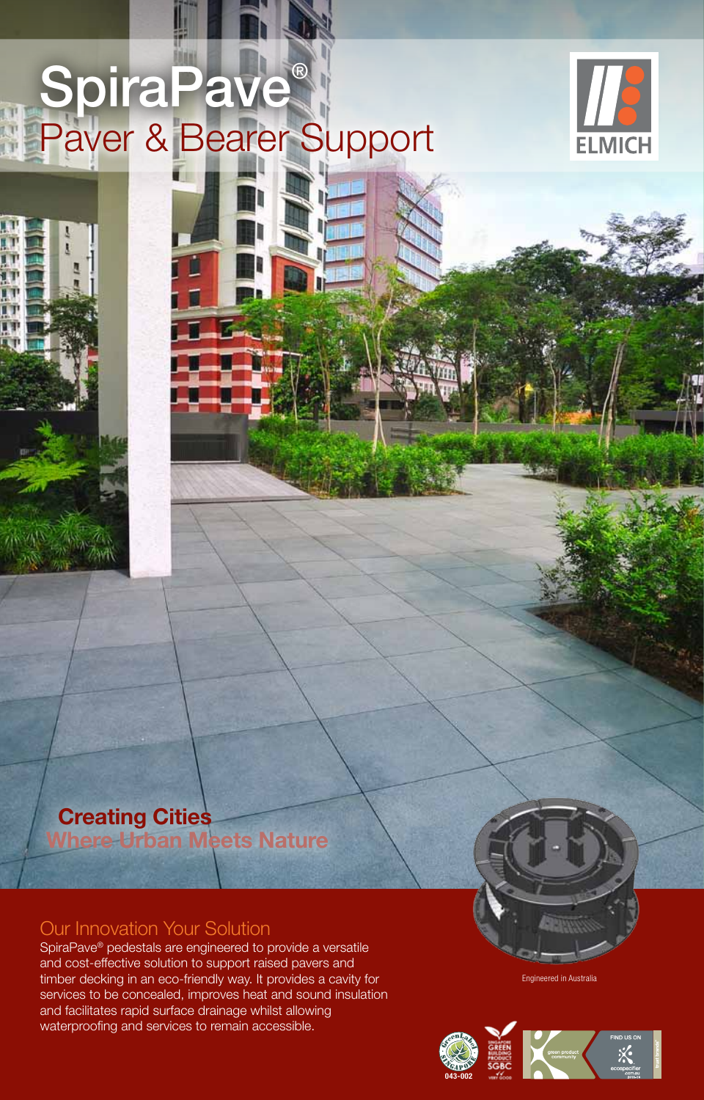# **SpiraPave®** Paver & Bearer Support



## **Creating Cities Where Urban Meets Nature**

## Our Innovation Your Solution

SpiraPave® pedestals are engineered to provide a versatile and cost-effective solution to support raised pavers and timber decking in an eco-friendly way. It provides a cavity for services to be concealed, improves heat and sound insulation and facilitates rapid surface drainage whilst allowing waterproofing and services to remain accessible.

Engineered in Australia

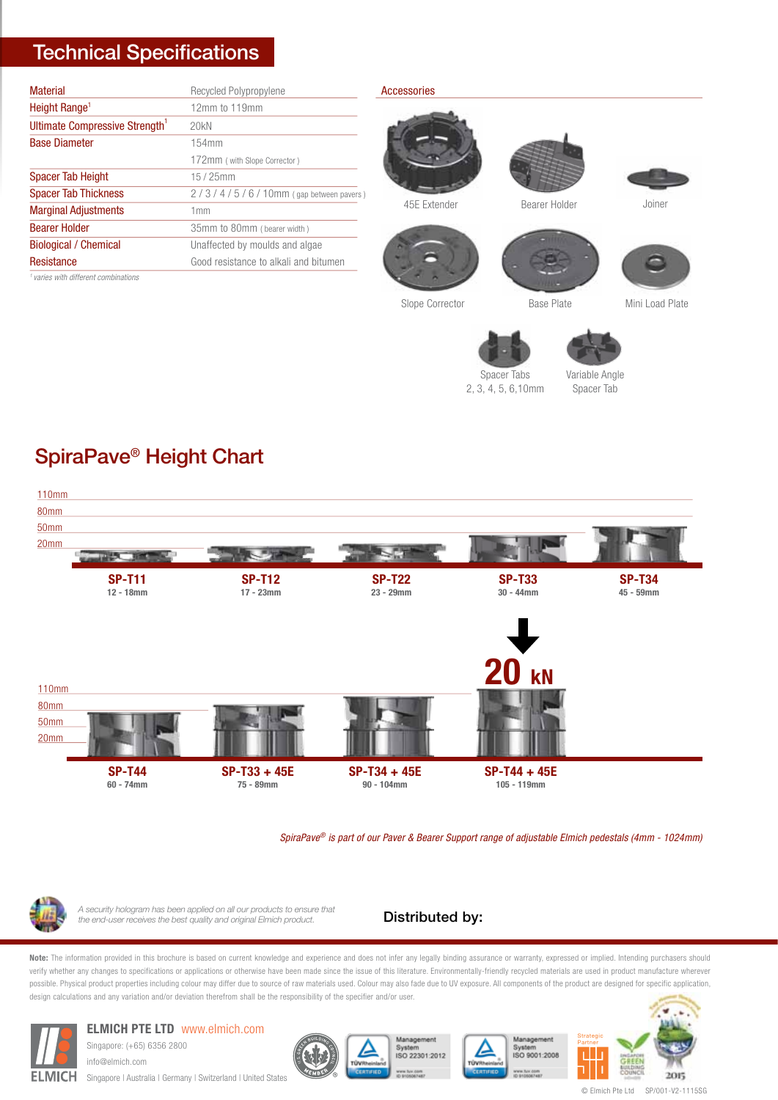## Technical Specifications

| <b>Material</b>                                 | Recycled Polypropylene                |
|-------------------------------------------------|---------------------------------------|
| Height Range <sup>1</sup>                       | 12mm to 119mm                         |
| Ultimate Compressive Strength                   | 20kN                                  |
| <b>Base Diameter</b>                            | 154mm                                 |
|                                                 | 172mm (with Slope Corrector)          |
| <b>Spacer Tab Height</b>                        | $15/25$ mm                            |
| <b>Spacer Tab Thickness</b>                     | 2/3/4/5/6/10mm (gap between pavers)   |
| <b>Marginal Adjustments</b>                     | 1mm                                   |
| <b>Bearer Holder</b>                            | 35mm to 80mm (bearer width)           |
| <b>Biological / Chemical</b>                    | Unaffected by moulds and algae        |
| Resistance                                      | Good resistance to alkali and bitumen |
| <sup>1</sup> varies with different combinations |                                       |

*1 varies with different combinations*

#### Accessories







Slope Corrector



Base Plate Mini Load Plate



2, 3, 4, 5, 6,10mm

Variable Angle



## SpiraPave® Height Chart



*SpiraPave® is part of our Paver & Bearer Support range of adjustable Elmich pedestals (4mm - 1024mm)*



*A security hologram has been applied on all our products to ensure that the end-user receives the best quality and original Elmich product.*

## Distributed by:

Note: The information provided in this brochure is based on current knowledge and experience and does not infer any legally binding assurance or warranty, expressed or implied. Intending purchasers should verify whether any changes to specifications or applications or otherwise have been made since the issue of this literature. Environmentally-friendly recycled materials are used in product manufacture wherever possible. Physical product properties including colour may differ due to source of raw materials used. Colour may also fade due to UV exposure. All components of the product are designed for specific application, design calculations and any variation and/or deviation therefrom shall be the responsibility of the specifier and/or user.



## **ELMICH PTE LTD** www.elmich.com

Singapore: (+65) 6356 2800 info@elmich.com Singapore | Australia | Germany | Switzerland | United States







© Elmich Pte Ltd SP/001-V2-1115SG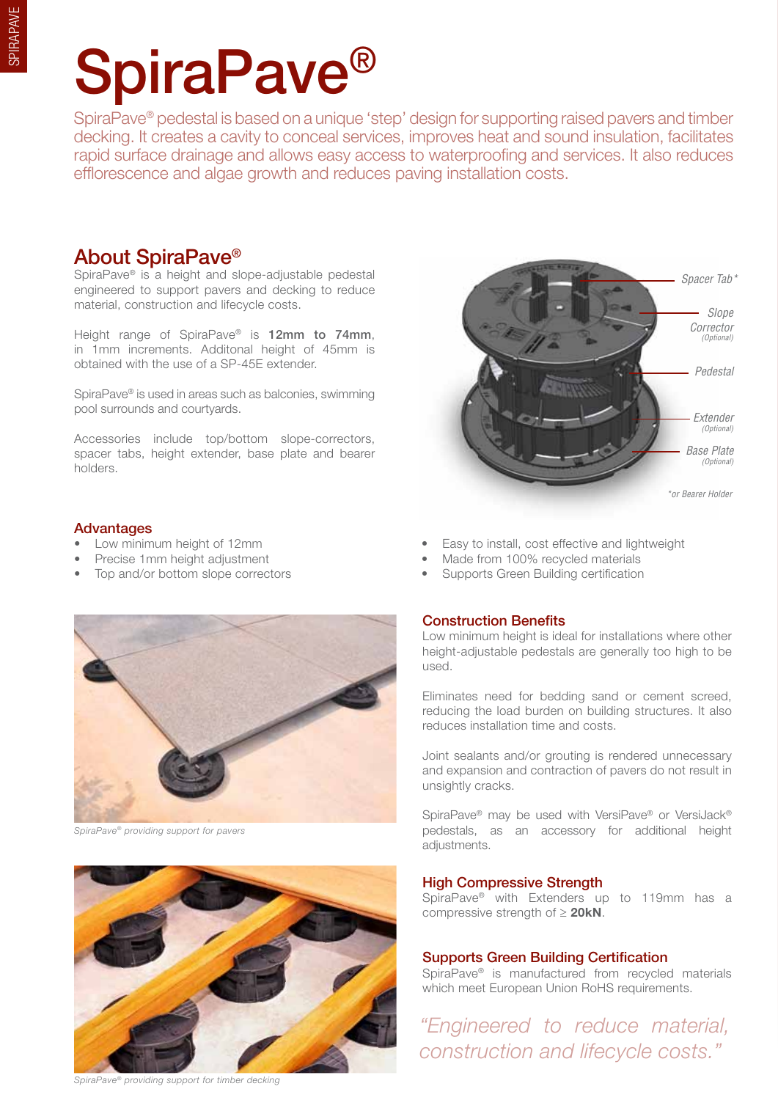# SpiraPave®

SpiraPave® pedestal is based on a unique 'step' design for supporting raised pavers and timber decking. It creates a cavity to conceal services, improves heat and sound insulation, facilitates rapid surface drainage and allows easy access to waterproofing and services. It also reduces efflorescence and algae growth and reduces paving installation costs.

## About SpiraPave®

SpiraPave® is a height and slope-adjustable pedestal engineered to support pavers and decking to reduce material, construction and lifecycle costs.

Height range of SpiraPave® is 12mm to 74mm, in 1mm increments. Additonal height of 45mm is obtained with the use of a SP-45E extender.

SpiraPave® is used in areas such as balconies, swimming pool surrounds and courtyards.

Accessories include top/bottom slope-correctors, spacer tabs, height extender, base plate and bearer holders.

## Advantages

- 
- 
- 



*SpiraPave® providing support for pavers*



*SpiraPave® providing support for timber decking*



- Low minimum height of 12mm  **Easy to install, cost effective and lightweight** 
	- **Precise 1mm height adjustment** Made from 100% recycled materials
- Top and/or bottom slope correctors Supports Green Building certification

## Construction Benefits

Low minimum height is ideal for installations where other height-adjustable pedestals are generally too high to be used.

Eliminates need for bedding sand or cement screed, reducing the load burden on building structures. It also reduces installation time and costs.

Joint sealants and/or grouting is rendered unnecessary and expansion and contraction of pavers do not result in unsightly cracks.

SpiraPave® may be used with VersiPave® or VersiJack® pedestals, as an accessory for additional height adjustments.

## High Compressive Strength

SpiraPave® with Extenders up to 119mm has a compressive strength of ≥ **20kN**.

## Supports Green Building Certification

SpiraPave® is manufactured from recycled materials which meet European Union RoHS requirements.

*"Engineered to reduce material, construction and lifecycle costs."*